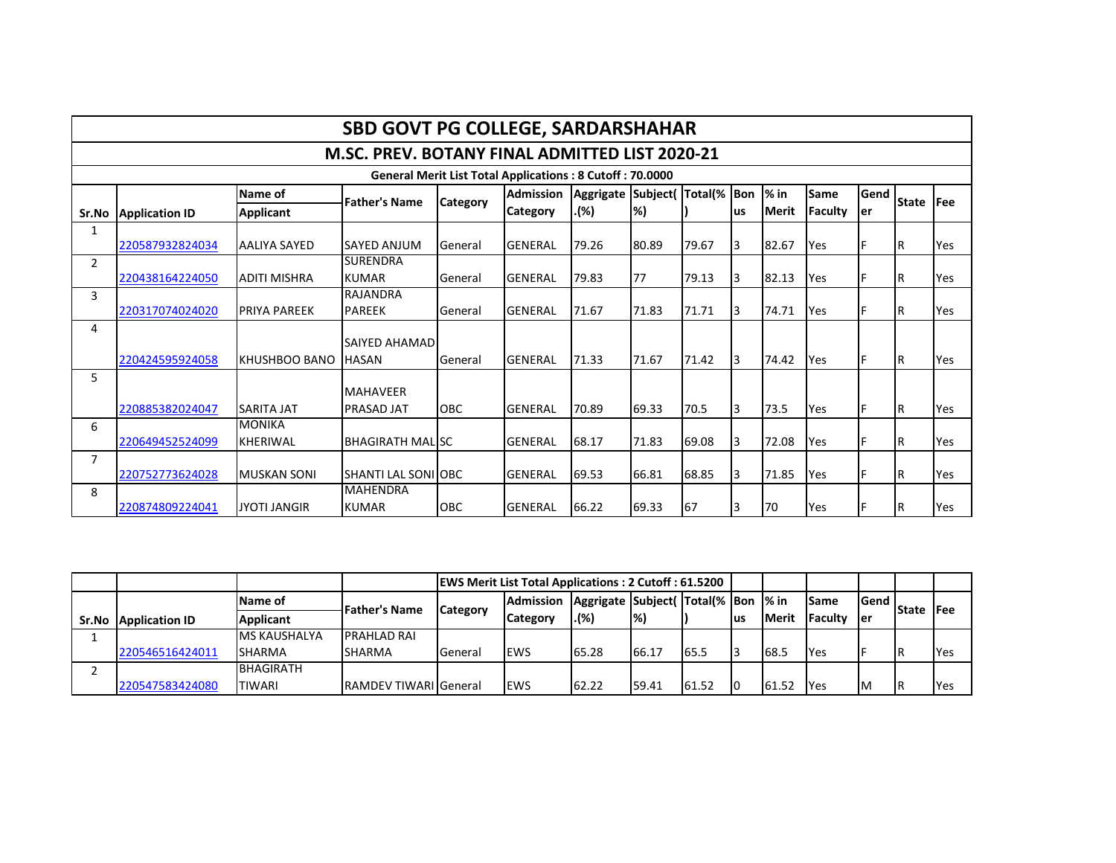|                |                                                                 |                                  | <b>SBD GOVT PG COLLEGE, SARDARSHAHAR</b>       |                 |                  |           |          |             |     |        |             |             |              |             |  |
|----------------|-----------------------------------------------------------------|----------------------------------|------------------------------------------------|-----------------|------------------|-----------|----------|-------------|-----|--------|-------------|-------------|--------------|-------------|--|
|                |                                                                 |                                  | M.SC. PREV. BOTANY FINAL ADMITTED LIST 2020-21 |                 |                  |           |          |             |     |        |             |             |              |             |  |
|                | <b>General Merit List Total Applications: 8 Cutoff: 70.0000</b> |                                  |                                                |                 |                  |           |          |             |     |        |             |             |              |             |  |
|                |                                                                 | Name of                          | <b>Father's Name</b>                           |                 | <b>Admission</b> | Aggrigate | Subject( | Total(% Bon |     | $%$ in | <b>Same</b> | Gend<br>ler | <b>State</b> | <b>IFee</b> |  |
| Sr.No          | <b>Application ID</b>                                           | <b>Applicant</b>                 |                                                | <b>Category</b> | Category         | .(%).     | %)       |             | lus | Merit  | Faculty     |             |              |             |  |
| 1              | 220587932824034                                                 | AALIYA SAYED                     | ISAYED ANJUM                                   | General         | <b>GENERAL</b>   | 79.26     | 80.89    | 79.67       | l3  | 82.67  | Yes         |             | IR           | Yes         |  |
| 2              | 220438164224050                                                 | <b>ADITI MISHRA</b>              | <b>SURENDRA</b><br><b>KUMAR</b>                | General         | <b>GENERAL</b>   | 79.83     | 77       | 79.13       | l3  | 82.13  | Yes         |             | IR.          | Yes         |  |
| 3              | 220317074024020                                                 | <b>PRIYA PAREEK</b>              | <b>RAJANDRA</b><br><b>PAREEK</b>               | General         | <b>GENERAL</b>   | 71.67     | 71.83    | 71.71       | l3  | 74.71  | Yes         | F           | IR.          | Yes         |  |
| 4              | 220424595924058                                                 | KHUSHBOO BANO                    | <b>SAIYED AHAMAD</b><br><b>HASAN</b>           | General         | <b>GENERAL</b>   | 71.33     | 71.67    | 71.42       | l3  | 74.42  | Yes         |             | IR.          | Yes         |  |
| 5              | 220885382024047                                                 | <b>SARITA JAT</b>                | <b>MAHAVEER</b><br><b>PRASAD JAT</b>           | OBC             | <b>GENERAL</b>   | 70.89     | 69.33    | 70.5        | l3  | 73.5   | Yes         |             | IR.          | Yes         |  |
| 6              | 220649452524099                                                 | <b>MONIKA</b><br><b>KHERIWAL</b> | <b>BHAGIRATH MALISC</b>                        |                 | <b>GENERAL</b>   | 68.17     | 71.83    | 69.08       | Iз  | 72.08  | Yes         |             | IR.          | Yes         |  |
| $\overline{7}$ | 220752773624028                                                 | <b>MUSKAN SONI</b>               | <b>I</b> SHANTI LAL SONI LOBC                  |                 | <b>GENERAL</b>   | 69.53     | 66.81    | 68.85       | Iз  | 71.85  | Yes         |             | IR.          | Yes         |  |
| 8              | 220874809224041                                                 | <b>JYOTI JANGIR</b>              | <b>MAHENDRA</b><br><b>KUMAR</b>                | OBC             | <b>GENERAL</b>   | 66.22     | 69.33    | 67          | l3  | 70     | Yes         |             | IR.          | Yes         |  |

|       |                       |                     |                              | <b>EWS Merit List Total Applications: 2 Cutoff: 61.5200</b> |                                                        |                                                     |        |       |     |              |                 |                    |              |             |
|-------|-----------------------|---------------------|------------------------------|-------------------------------------------------------------|--------------------------------------------------------|-----------------------------------------------------|--------|-------|-----|--------------|-----------------|--------------------|--------------|-------------|
|       |                       | Name of             | <b>Father's Name</b>         |                                                             | <b>Admission</b><br><b>Category</b><br><b>Category</b> | Aggrigate   Subject (Total (%   Bon   % in<br>. (%) | l%)    |       | lus | <b>Merit</b> | <b>ISame</b>    | <b>Send</b><br>ler | <b>State</b> | <b>IFee</b> |
| Sr.No | <b>Application ID</b> | <b>Applicant</b>    |                              |                                                             |                                                        |                                                     |        |       |     |              | <b>IFaculty</b> |                    |              |             |
|       |                       | <b>MS KAUSHALYA</b> | <b>PRAHLAD RAI</b>           |                                                             |                                                        |                                                     |        |       |     |              |                 |                    |              |             |
|       | 220546516424011       | <b>SHARMA</b>       | <b>SHARMA</b>                | General                                                     | <b>EWS</b>                                             | 65.28                                               | 166.17 | 65.5  |     | 68.5         | <b>Yes</b>      |                    |              | <b>PYes</b> |
|       |                       | <b>BHAGIRATH</b>    |                              |                                                             |                                                        |                                                     |        |       |     |              |                 |                    |              |             |
|       | 220547583424080       | TIWARI              | <b>RAMDEV TIWARI</b> General |                                                             | <b>EWS</b>                                             | 62.22                                               | 59.41  | 61.52 |     | 61.52        | <b>IYes</b>     | Iм                 |              | <b>Yes</b>  |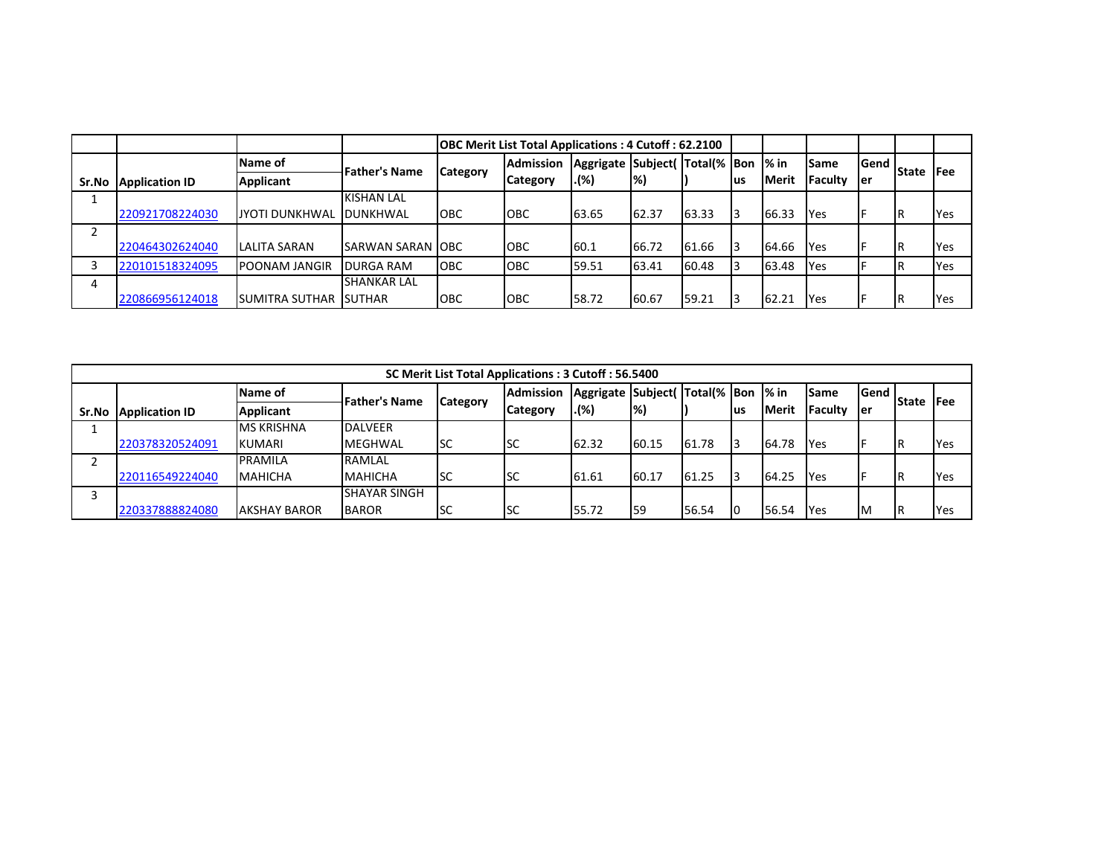|       |                       |                         |                      |            | <b>OBC Merit List Total Applications: 4 Cutoff: 62.2100</b> |                                     |               |       |     |               |                |                                         |     |
|-------|-----------------------|-------------------------|----------------------|------------|-------------------------------------------------------------|-------------------------------------|---------------|-------|-----|---------------|----------------|-----------------------------------------|-----|
|       |                       | Name of                 | <b>Father's Name</b> |            | <b>Admission</b>                                            | Aggrigate Subject(Total(% Bon  % in |               |       |     |               | Same           | Gend<br><b>State IFee</b><br><b>ler</b> |     |
| Sr.No | <b>Application ID</b> | <b>Applicant</b>        |                      | Category   | <b>Category</b>                                             | .(%)                                | $\frac{9}{6}$ |       | lus | <b>IMerit</b> | <b>Faculty</b> |                                         |     |
|       |                       |                         | <b>KISHAN LAL</b>    |            |                                                             |                                     |               |       |     |               |                |                                         |     |
|       | 220921708224030       | JYOTI DUNKHWAL          | DUNKHWAL             | <b>OBC</b> | <b>OBC</b>                                                  | 63.65                               | 62.37         | 63.33 |     | 66.33         | Yes            |                                         | Yes |
| ົ     |                       |                         |                      |            |                                                             |                                     |               |       |     |               |                |                                         |     |
|       | 220464302624040       | <b>LALITA SARAN</b>     | ISARWAN SARAN IOBC   |            | ІОВС                                                        | 60.1                                | 66.72         | 61.66 |     | 64.66         | Yes            |                                         | Yes |
|       | 220101518324095       | <b>POONAM JANGIR</b>    | <b>DURGA RAM</b>     | <b>OBC</b> | OBC                                                         | 59.51                               | 63.41         | 60.48 |     | 63.48         | Yes            |                                         | Yes |
| 4     |                       |                         | <b>SHANKAR LAL</b>   |            |                                                             |                                     |               |       |     |               |                |                                         |     |
|       | 220866956124018       | ISUMITRA SUTHAR ISUTHAR |                      | <b>OBC</b> | OBC                                                         | 58.72                               | 60.67         | 59.21 |     | 62.21         | Yes            |                                         | Yes |

|       | SC Merit List Total Applications: 3 Cutoff: 56.5400 |                     |                      |                 |                  |                                     |                          |       |     |       |                 |      |              |             |  |
|-------|-----------------------------------------------------|---------------------|----------------------|-----------------|------------------|-------------------------------------|--------------------------|-------|-----|-------|-----------------|------|--------------|-------------|--|
|       |                                                     | Name of             | <b>Father's Name</b> |                 | <b>Admission</b> | Aggrigate Subject(Total(% Bon  % in |                          |       |     |       | <b>Same</b>     | Gend | <b>State</b> |             |  |
| Sr.No | <b>Application ID</b>                               | <b>Applicant</b>    |                      | <b>Category</b> | <b>Category</b>  | . (%)                               | $\left  \%\right\rangle$ |       | lus | Merit | <b>IFaculty</b> | ler  |              | <b>IFee</b> |  |
|       |                                                     | <b>MS KRISHNA</b>   | <b>DALVEER</b>       |                 |                  |                                     |                          |       |     |       |                 |      |              |             |  |
|       | 220378320524091                                     | KUMARI              | <b>MEGHWAL</b>       | lsc             | <b>I</b> SC      | 62.32                               | 60.15                    | 61.78 | I٩  | 64.78 | <b>IYes</b>     |      | IR           | Yes         |  |
|       |                                                     | PRAMILA             | RAMLAL               |                 |                  |                                     |                          |       |     |       |                 |      |              |             |  |
|       | 220116549224040                                     | <b>MAHICHA</b>      | <b>MAHICHA</b>       | <b>SC</b>       | <b>ISC</b>       | 61.61                               | 60.17                    | 61.25 |     | 64.25 | <b>Yes</b>      |      | IR           | Yes         |  |
|       |                                                     |                     | <b>SHAYAR SINGH</b>  |                 |                  |                                     |                          |       |     |       |                 |      |              |             |  |
|       | 220337888824080                                     | <b>AKSHAY BAROR</b> | <b>BAROR</b>         | <b>SC</b>       | <b>ISC</b>       | 55.72                               | 59                       | 56.54 | IO  | 56.54 | Yes             | Iм   | IR           | lYes        |  |